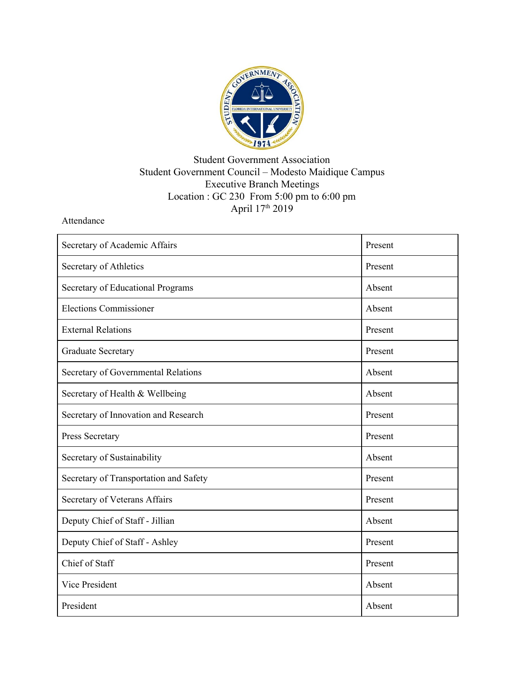

## Student Government Association Student Government Council – Modesto Maidique Campus Executive Branch Meetings Location : GC 230 From 5:00 pm to 6:00 pm April 17<sup>th</sup> 2019

Attendance

| Secretary of Academic Affairs          | Present |
|----------------------------------------|---------|
| Secretary of Athletics                 | Present |
| Secretary of Educational Programs      | Absent  |
| <b>Elections Commissioner</b>          | Absent  |
| <b>External Relations</b>              | Present |
| <b>Graduate Secretary</b>              | Present |
| Secretary of Governmental Relations    | Absent  |
| Secretary of Health & Wellbeing        | Absent  |
| Secretary of Innovation and Research   | Present |
| Press Secretary                        | Present |
| Secretary of Sustainability            | Absent  |
| Secretary of Transportation and Safety | Present |
| Secretary of Veterans Affairs          | Present |
| Deputy Chief of Staff - Jillian        | Absent  |
| Deputy Chief of Staff - Ashley         | Present |
| Chief of Staff                         | Present |
| Vice President                         | Absent  |
| President                              | Absent  |